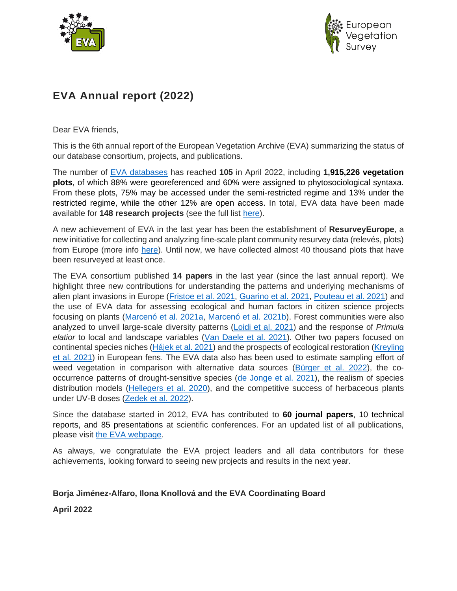



# **EVA Annual report (2022)**

Dear EVA friends,

This is the 6th annual report of the European Vegetation Archive (EVA) summarizing the status of our database consortium, projects, and publications.

The number of [EVA databases](http://euroveg.org/eva-database-participating-databases) has reached **105** in April 2022, including **1,915,226 vegetation plots**, of which 88% were georeferenced and 60% were assigned to phytosociological syntaxa. From these plots, 75% may be accessed under the semi-restricted regime and 13% under the restricted regime, while the other 12% are open access. In total, EVA data have been made available for **148 research projects** (see the full list [here\)](http://euroveg.org/eva-database-eva-projects).

A new achievement of EVA in the last year has been the establishment of **ResurveyEurope**, a new initiative for collecting and analyzing fine-scale plant community resurvey data (relevés, plots) from Europe (more info [here\)](http://euroveg.org/eva-database-re-survey-europe). Until now, we have collected almost 40 thousand plots that have been resurveyed at least once.

The EVA consortium published **14 papers** in the last year (since the last annual report). We highlight three new contributions for understanding the patterns and underlying mechanisms of alien plant invasions in Europe [\(Fristoe et al. 2021,](https://doi.org/10.1073/pnas.2021173118) [Guarino et al. 2021,](https://link.springer.com/article/10.1007/s10530-021-02561-0) [Pouteau et al. 2021\)](https://onlinelibrary.wiley.com/doi/full/10.1111/ddi.13378) and the use of EVA data for assessing ecological and human factors in citizen science projects focusing on plants [\(Marcenó et al. 2021a,](https://doi.org/10.1111/1365-2664.13896) [Marcenó et al. 2021b\)](https://link.springer.com/article/10.1007/s10531-021-02248-x). Forest communities were also analyzed to unveil large-scale diversity patterns [\(Loidi et al. 2021\)](https://doi.org/10.1111/jbi.14254) and the response of *Primula elatior* to local and landscape variables [\(Van Daele et al. 2021\)](https://onlinelibrary.wiley.com/doi/10.1111/ddi.13367). Other two papers focused on continental species niches [\(Hájek et al. 2021\)](https://doi.org/10.1111/gcb.15980) and the prospects of ecological restoration [\(Kreyling](https://doi.org/10.1038/s41467-021-25619-y) [et al. 2021\)](https://doi.org/10.1038/s41467-021-25619-y) in European fens. The EVA data also has been used to estimate sampling effort of weed vegetation in comparison with alternative data sources [\(Bürger et al. 2022\)](https://onlinelibrary.wiley.com/doi/full/10.1111/avsc.12460), the cooccurrence patterns of drought-sensitive species [\(de Jonge et al. 2021\)](https://onlinelibrary.wiley.com/doi/full/10.1111/geb.13323), the realism of species distribution models [\(Hellegers et al. 2020\)](https://doi.org/10.1111/ecog.04291), and the competitive success of herbaceous plants under UV-B doses (Zedek [et al. 2022\)](https://doi:10.1111/nph.17750).

Since the database started in 2012, EVA has contributed to **60 journal papers**, 10 technical reports, and 85 presentations at scientific conferences. For an updated list of all publications, please visit the [EVA webpage.](http://euroveg.org/eva-database-eva-publications)

As always, we congratulate the EVA project leaders and all data contributors for these achievements, looking forward to seeing new projects and results in the next year.

#### **Borja Jiménez-Alfaro, Ilona Knollová and the EVA Coordinating Board**

**April 2022**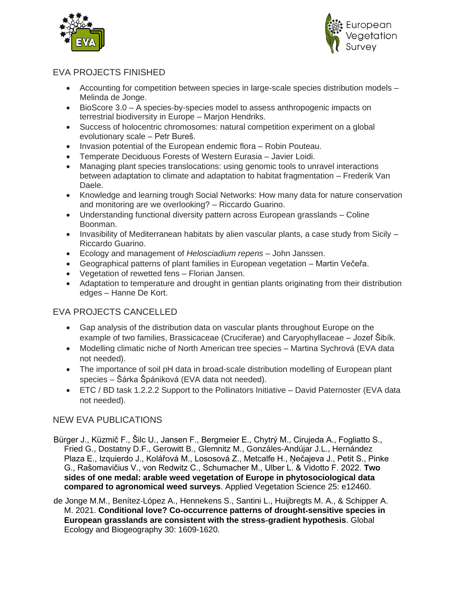



## EVA PROJECTS FINISHED

- Accounting for competition between species in large-scale species distribution models Melinda de Jonge.
- BioScore 3.0 A species-by-species model to assess anthropogenic impacts on terrestrial biodiversity in Europe – Marjon Hendriks.
- Success of holocentric chromosomes: natural competition experiment on a global evolutionary scale – Petr Bureš.
- Invasion potential of the European endemic flora Robin Pouteau.
- Temperate Deciduous Forests of Western Eurasia Javier Loidi.
- Managing plant species translocations: using genomic tools to unravel interactions between adaptation to climate and adaptation to habitat fragmentation – Frederik Van Daele.
- Knowledge and learning trough Social Networks: How many data for nature conservation and monitoring are we overlooking? – Riccardo Guarino.
- Understanding functional diversity pattern across European grasslands Coline Boonman.
- Invasibility of Mediterranean habitats by alien vascular plants, a case study from Sicily Riccardo Guarino.
- Ecology and management of *Helosciadium repens* John Janssen.
- Geographical patterns of plant families in European vegetation Martin Večeřa.
- Vegetation of rewetted fens Florian Jansen.
- Adaptation to temperature and drought in gentian plants originating from their distribution edges – Hanne De Kort.

### EVA PROJECTS CANCELLED

- Gap analysis of the distribution data on vascular plants throughout Europe on the example of two families, Brassicaceae (Cruciferae) and Caryophyllaceae – Jozef Šibík.
- Modelling climatic niche of North American tree species Martina Sychrová (EVA data not needed).
- The importance of soil pH data in broad-scale distribution modelling of European plant species – Šárka Špániková (EVA data not needed).
- ETC / BD task 1.2.2.2 Support to the Pollinators Initiative David Paternoster (EVA data not needed).

#### NEW EVA PUBLICATIONS

- Bürger J., Küzmič F., Šilc U., Jansen F., Bergmeier E., Chytrý M., Cirujeda A., Fogliatto S., Fried G., Dostatny D.F., Gerowitt B., Glemnitz M., Gonzáles-Andújar J.L., Hernández Plaza E., Izquierdo J., Kolářová M., Lososová Z., Metcalfe H., Ņečajeva J., Petit S., Pinke G., Rašomavičius V., von Redwitz C., Schumacher M., Ulber L. & Vidotto F. 2022. **Two sides of one medal: arable weed vegetation of Europe in phytosociological data compared to agronomical weed surveys**. Applied Vegetation Science 25: e12460.
- de Jonge M.M., Benítez‐López A., Hennekens S., Santini L., Huijbregts M. A., & Schipper A. M. 2021. **Conditional love? Co**‐**occurrence patterns of drought**‐**sensitive species in European grasslands are consistent with the stress**‐**gradient hypothesis**. Global Ecology and Biogeography 30: 1609-1620.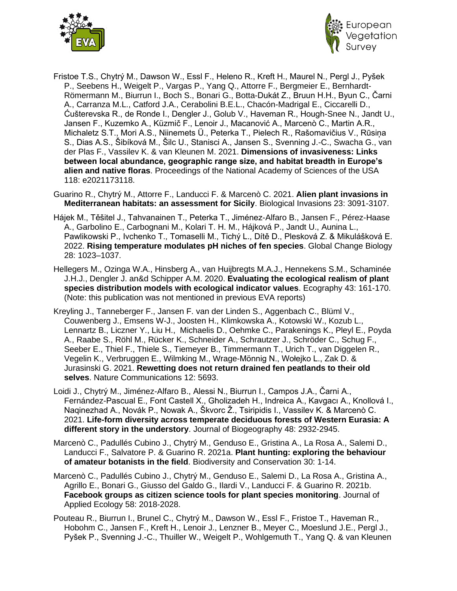



- Fristoe T.S., Chytrý M., Dawson W., Essl F., Heleno R., Kreft H., Maurel N., Pergl J., Pyšek P., Seebens H., Weigelt P., Vargas P., Yang Q., Attorre F., Bergmeier E., Bernhardt-Römermann M., Biurrun I., Boch S., Bonari G., Botta-Dukát Z., Bruun H.H., Byun C., Čarni A., Carranza M.L., Catford J.A., Cerabolini B.E.L., Chacón-Madrigal E., Ciccarelli D., Ćušterevska R., de Ronde I., Dengler J., Golub V., Haveman R., Hough-Snee N., Jandt U., Jansen F., Kuzemko A., Küzmič F., Lenoir J., Macanović A., Marcenò C., Martin A.R., Michaletz S.T., Mori A.S., Niinemets Ü., Peterka T., Pielech R., Rašomavičius V., Rūsiņa S., Dias A.S., Šibíková M., Šilc U., Stanisci A., Jansen S., Svenning J.-C., Swacha G., van der Plas F., Vassilev K. & van Kleunen M. 2021. **Dimensions of invasiveness: Links between local abundance, geographic range size, and habitat breadth in Europe's alien and native floras**. Proceedings of the National Academy of Sciences of the USA 118: e2021173118.
- Guarino R., Chytrý M., Attorre F., Landucci F. & Marcenò C. 2021. **Alien plant invasions in Mediterranean habitats: an assessment for Sicily**. Biological Invasions 23: 3091-3107.
- Hájek M., Těšitel J., Tahvanainen T., Peterka T., Jiménez-Alfaro B., Jansen F., Pérez-Haase A., Garbolino E., Carbognani M., Kolari T. H. M., Hájková P., Jandt U., Aunina L., Pawlikowski P., Ivchenko T., Tomaselli M., Tichý L., Dítě D., Plesková Z. & Mikulášková E. 2022. **Rising temperature modulates pH niches of fen species**. Global Change Biology 28: 1023–1037.
- Hellegers M., Ozinga W.A., Hinsberg A., van Huijbregts M.A.J., Hennekens S.M., Schaminée J.H.J., Dengler J. an&d Schipper A.M. 2020. **Evaluating the ecological realism of plant species distribution models with ecological indicator values**. Ecography 43: 161-170. (Note: this publication was not mentioned in previous EVA reports)
- Kreyling J., Tanneberger F., Jansen F. van der Linden S., Aggenbach C., Blüml V., Couwenberg J., Emsens W-J., Joosten H., Klimkowska A., Kotowski W., Kozub L., Lennartz B., Liczner Y., Liu H., Michaelis D., Oehmke C., Parakenings K., Pleyl E., Poyda A., Raabe S., Röhl M., Rücker K., Schneider A., Schrautzer J., Schröder C., Schug F., Seeber E., Thiel F., Thiele S., Tiemeyer B., Timmermann T., Urich T., van Diggelen R., Vegelin K., Verbruggen E., Wilmking M., Wrage-Mönnig N., Wołejko L., Zak D. & Jurasinski G. 2021. **Rewetting does not return drained fen peatlands to their old selves**. Nature Communications 12: 5693.
- Loidi J., Chytrý M., Jiménez-Alfaro B., Alessi N., Biurrun I., Campos J.A., Čarni A., Fernández-Pascual E., Font Castell X., Gholizadeh H., Indreica A., Kavgacı A., Knollová I., Naqinezhad A., Novák P., Nowak A., Škvorc Ž., Tsiripidis I., Vassilev K. & Marcenò C. 2021. **Life-form diversity across temperate deciduous forests of Western Eurasia: A different story in the understory**. Journal of Biogeography 48: 2932-2945.
- Marcenò C., Padullés Cubino J., Chytrý M., Genduso E., Gristina A., La Rosa A., Salemi D., Landucci F., Salvatore P. & Guarino R. 2021a. **Plant hunting: exploring the behaviour of amateur botanists in the field**. Biodiversity and Conservation 30: 1-14.
- Marcenò C., Padullés Cubino J., Chytrý M., Genduso E., Salemi D., La Rosa A., Gristina A., Agrillo E., Bonari G., Giusso del Galdo G., Ilardi V., Landucci F. & Guarino R. 2021b. **Facebook groups as citizen science tools for plant species monitoring**. Journal of Applied Ecology 58: 2018-2028.
- Pouteau R., Biurrun I., Brunel C., Chytrý M., Dawson W., Essl F., Fristoe T., Haveman R., Hobohm C., Jansen F., Kreft H., Lenoir J., Lenzner B., Meyer C., Moeslund J.E., Pergl J., Pyšek P., Svenning J.-C., Thuiller W., Weigelt P., Wohlgemuth T., Yang Q. & van Kleunen